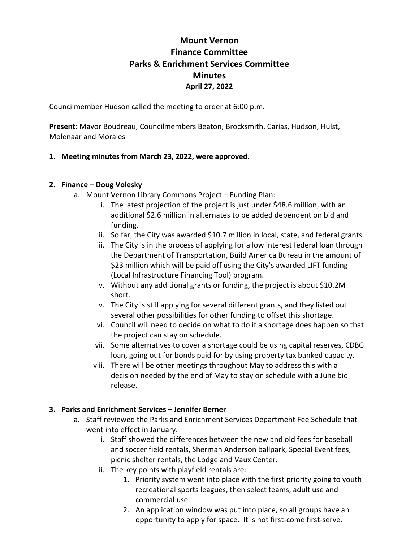# **Mount Vernon Finance Committee Parks & Enrichment Services Committee Minutes April 27, 2022**

Councilmember Hudson called the meeting to order at 6:00 p.m.

**Present:** Mayor Boudreau, Councilmembers Beaton, Brocksmith, Carías, Hudson, Hulst, Molenaar and Morales

### **1. Meeting minutes from March 23, 2022, were approved.**

### **2. Finance – Doug Volesky**

- a. Mount Vernon Library Commons Project Funding Plan:
	- i. The latest projection of the project is just under \$48.6 million, with an additional \$2.6 million in alternates to be added dependent on bid and funding.
	- ii. So far, the City was awarded \$10.7 million in local, state, and federal grants.
	- iii. The City is in the process of applying for a low interest federal loan through the Department of Transportation, Build America Bureau in the amount of \$23 million which will be paid off using the City's awarded LIFT funding (Local Infrastructure Financing Tool) program.
	- iv. Without any additional grants or funding, the project is about \$10.2M short.
	- v. The City is still applying for several different grants, and they listed out several other possibilities for other funding to offset this shortage.
	- vi. Council will need to decide on what to do if a shortage does happen so that the project can stay on schedule.
	- vii. Some alternatives to cover a shortage could be using capital reserves, CDBG loan, going out for bonds paid for by using property tax banked capacity.
	- viii. There will be other meetings throughout May to address this with a decision needed by the end of May to stay on schedule with a June bid release.

# **3. Parks and Enrichment Services – Jennifer Berner**

- a. Staff reviewed the Parks and Enrichment Services Department Fee Schedule that went into effect in January.
	- i. Staff showed the differences between the new and old fees for baseball and soccer field rentals, Sherman Anderson ballpark, Special Event fees, picnic shelter rentals, the Lodge and Vaux Center.
	- ii. The key points with playfield rentals are:
		- 1. Priority system went into place with the first priority going to youth recreational sports leagues, then select teams, adult use and commercial use.
		- 2. An application window was put into place, so all groups have an opportunity to apply for space. It is not first-come first-serve.